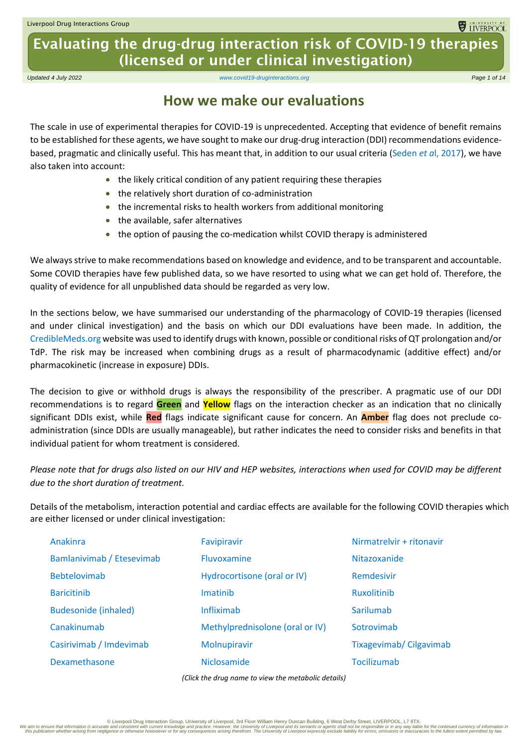**ELECTRIC CONTRACTOR** 

Evaluating the drug-drug interaction risk of COVID-19 therapies (licensed or under clinical investigation)

*Updated 4 July 2022 [www.covid19-druginteractions.org](http://www.covid19-druginteractions.org/) Page 1 of 14*

#### **How we make our evaluations**

The scale in use of experimental therapies for COVID-19 is unprecedented. Accepting that evidence of benefit remains to be established for these agents, we have sought to make our drug-drug interaction (DDI) recommendations evidencebased, pragmatic and clinically useful. This has meant that, in addition to our usual criteria [\(Seden](https://www.ncbi.nlm.nih.gov/pubmed/28334018) *et a*l, 2017), we have also taken into account:

- the likely critical condition of any patient requiring these therapies
- the relatively short duration of co-administration
- the incremental risks to health workers from additional monitoring
- the available, safer alternatives
- the option of pausing the co-medication whilst COVID therapy is administered

We always strive to make recommendations based on knowledge and evidence, and to be transparent and accountable. Some COVID therapies have few published data, so we have resorted to using what we can get hold of. Therefore, the quality of evidence for all unpublished data should be regarded as very low.

In the sections below, we have summarised our understanding of the pharmacology of COVID-19 therapies (licensed and under clinical investigation) and the basis on which our DDI evaluations have been made. In addition, the [CredibleMeds.org](https://www.crediblemeds.org/) website was used to identify drugs with known, possible or conditional risks of QT prolongation and/or TdP. The risk may be increased when combining drugs as a result of pharmacodynamic (additive effect) and/or pharmacokinetic (increase in exposure) DDIs.

The decision to give or withhold drugs is always the responsibility of the prescriber. A pragmatic use of our DDI recommendations is to regard **Green** and **Yellow** flags on the interaction checker as an indication that no clinically significant DDIs exist, while **Red** flags indicate significant cause for concern. An **Amber** flag does not preclude coadministration (since DDIs are usually manageable), but rather indicates the need to consider risks and benefits in that individual patient for whom treatment is considered.

*Please note that for drugs also listed on our HIV and HEP websites, interactions when used for COVID may be different due to the short duration of treatment.*

Details of the metabolism, interaction potential and cardiac effects are available for the following COVID therapies which are either licensed or under clinical investigation:

| Anakinra                    | Favipiravir                     | Nirmatrelvir + ritonavir |
|-----------------------------|---------------------------------|--------------------------|
| Bamlanivimab / Etesevimab   | <b>Fluvoxamine</b>              | Nitazoxanide             |
| <b>Bebtelovimab</b>         | Hydrocortisone (oral or IV)     | Remdesivir               |
| <b>Baricitinib</b>          | Imatinib                        | <b>Ruxolitinib</b>       |
| <b>Budesonide (inhaled)</b> | Infliximab                      | Sarilumab                |
| Canakinumab                 | Methylprednisolone (oral or IV) | Sotrovimab               |
| Casirivimab / Imdevimab     | Molnupiravir                    | Tixagevimab/ Cilgavimab  |
| Dexamethasone               | Niclosamide                     | Tocilizumab              |
|                             |                                 |                          |

*(Click the drug name to view the metabolic details)*

© Liverpool Drug Interaction Group, University of Liverpool, 3rd Floor William Henry Duncan Building, 6 West Derby Street, LIVERPOOL, L7 8TX. we aim to ensure that information is accurate and consistent with current knowledge and practice. However, the University of Liverpool and its servants or agent shall not be responsible or the continued current of any cons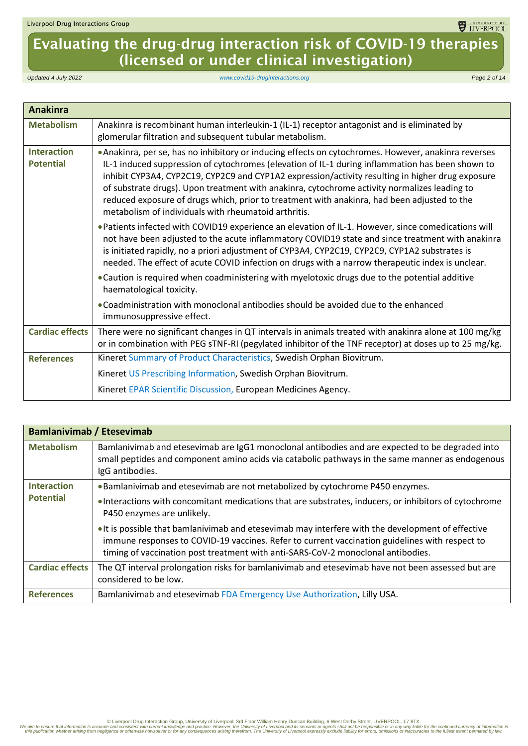# Evaluating the drug-drug interaction risk of COVID-19 therapies (licensed or under clinical investigation)

*Updated 4 July 2022 [www.covid19-druginteractions.org](http://www.covid19-druginteractions.org/) Page 2 of 14*

<span id="page-1-0"></span>

| <b>Anakinra</b>                        |                                                                                                                                                                                                                                                                                                                                                                                                                                                                                                                                                                     |
|----------------------------------------|---------------------------------------------------------------------------------------------------------------------------------------------------------------------------------------------------------------------------------------------------------------------------------------------------------------------------------------------------------------------------------------------------------------------------------------------------------------------------------------------------------------------------------------------------------------------|
| <b>Metabolism</b>                      | Anakinra is recombinant human interleukin-1 (IL-1) receptor antagonist and is eliminated by<br>glomerular filtration and subsequent tubular metabolism.                                                                                                                                                                                                                                                                                                                                                                                                             |
| <b>Interaction</b><br><b>Potential</b> | . Anakinra, per se, has no inhibitory or inducing effects on cytochromes. However, anakinra reverses<br>IL-1 induced suppression of cytochromes (elevation of IL-1 during inflammation has been shown to<br>inhibit CYP3A4, CYP2C19, CYP2C9 and CYP1A2 expression/activity resulting in higher drug exposure<br>of substrate drugs). Upon treatment with anakinra, cytochrome activity normalizes leading to<br>reduced exposure of drugs which, prior to treatment with anakinra, had been adjusted to the<br>metabolism of individuals with rheumatoid arthritis. |
|                                        | . Patients infected with COVID19 experience an elevation of IL-1. However, since comedications will<br>not have been adjusted to the acute inflammatory COVID19 state and since treatment with anakinra<br>is initiated rapidly, no a priori adjustment of CYP3A4, CYP2C19, CYP2C9, CYP1A2 substrates is<br>needed. The effect of acute COVID infection on drugs with a narrow therapeutic index is unclear.                                                                                                                                                        |
|                                        | • Caution is required when coadministering with myelotoxic drugs due to the potential additive<br>haematological toxicity.                                                                                                                                                                                                                                                                                                                                                                                                                                          |
|                                        | . Coadministration with monoclonal antibodies should be avoided due to the enhanced<br>immunosuppressive effect.                                                                                                                                                                                                                                                                                                                                                                                                                                                    |
| <b>Cardiac effects</b>                 | There were no significant changes in QT intervals in animals treated with anakinra alone at 100 mg/kg<br>or in combination with PEG sTNF-RI (pegylated inhibitor of the TNF receptor) at doses up to 25 mg/kg.                                                                                                                                                                                                                                                                                                                                                      |
| <b>References</b>                      | Kineret Summary of Product Characteristics, Swedish Orphan Biovitrum.                                                                                                                                                                                                                                                                                                                                                                                                                                                                                               |
|                                        | Kineret US Prescribing Information, Swedish Orphan Biovitrum.                                                                                                                                                                                                                                                                                                                                                                                                                                                                                                       |
|                                        | Kineret EPAR Scientific Discussion, European Medicines Agency.                                                                                                                                                                                                                                                                                                                                                                                                                                                                                                      |

<span id="page-1-1"></span>

| <b>Bamlanivimab / Etesevimab</b>       |                                                                                                                                                                                                                                                                                         |
|----------------------------------------|-----------------------------------------------------------------------------------------------------------------------------------------------------------------------------------------------------------------------------------------------------------------------------------------|
| <b>Metabolism</b>                      | Bamlanivimab and etesevimab are IgG1 monoclonal antibodies and are expected to be degraded into<br>small peptides and component amino acids via catabolic pathways in the same manner as endogenous<br>IgG antibodies.                                                                  |
| <b>Interaction</b><br><b>Potential</b> | . Bamlanivimab and etesevimab are not metabolized by cytochrome P450 enzymes.                                                                                                                                                                                                           |
|                                        | • Interactions with concomitant medications that are substrates, inducers, or inhibitors of cytochrome<br>P450 enzymes are unlikely.                                                                                                                                                    |
|                                        | . It is possible that bamlanivimab and etesevimab may interfere with the development of effective<br>immune responses to COVID-19 vaccines. Refer to current vaccination guidelines with respect to<br>timing of vaccination post treatment with anti-SARS-CoV-2 monoclonal antibodies. |
| <b>Cardiac effects</b>                 | The QT interval prolongation risks for bamlanivimab and etesevimab have not been assessed but are<br>considered to be low.                                                                                                                                                              |
| <b>References</b>                      | Bamlanivimab and etesevimab FDA Emergency Use Authorization, Lilly USA.                                                                                                                                                                                                                 |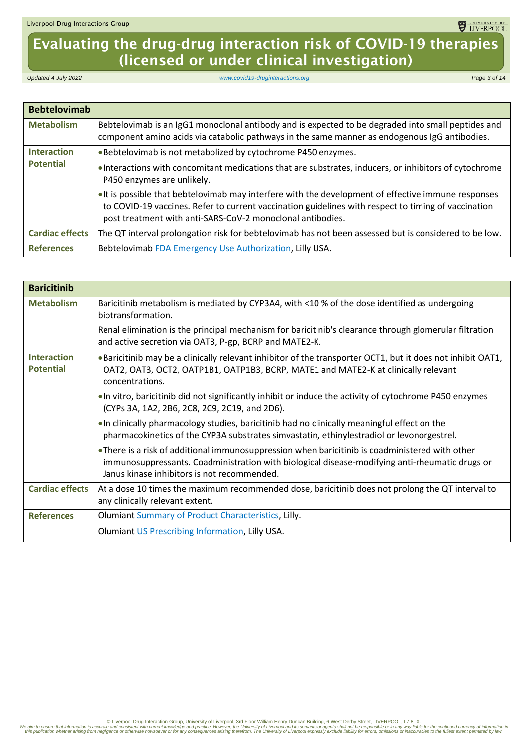# Evaluating the drug-drug interaction risk of COVID-19 therapies (licensed or under clinical investigation)

*Updated 4 July 2022 [www.covid19-druginteractions.org](http://www.covid19-druginteractions.org/) Page 3 of 14*

<span id="page-2-0"></span>

| <b>Bebtelovimab</b>    |                                                                                                                                                                                                                                                                          |
|------------------------|--------------------------------------------------------------------------------------------------------------------------------------------------------------------------------------------------------------------------------------------------------------------------|
| <b>Metabolism</b>      | Bebtelovimab is an IgG1 monoclonal antibody and is expected to be degraded into small peptides and<br>component amino acids via catabolic pathways in the same manner as endogenous IgG antibodies.                                                                      |
| <b>Interaction</b>     | . Bebtelovimab is not metabolized by cytochrome P450 enzymes.                                                                                                                                                                                                            |
| <b>Potential</b>       | . Interactions with concomitant medications that are substrates, inducers, or inhibitors of cytochrome<br>P450 enzymes are unlikely.                                                                                                                                     |
|                        | • It is possible that bebtelovimab may interfere with the development of effective immune responses<br>to COVID-19 vaccines. Refer to current vaccination guidelines with respect to timing of vaccination<br>post treatment with anti-SARS-CoV-2 monoclonal antibodies. |
| <b>Cardiac effects</b> | The QT interval prolongation risk for bebtelovimab has not been assessed but is considered to be low.                                                                                                                                                                    |
| <b>References</b>      | Bebtelovimab FDA Emergency Use Authorization, Lilly USA.                                                                                                                                                                                                                 |

<span id="page-2-1"></span>

| <b>Baricitinib</b>                     |                                                                                                                                                                                                                                                  |
|----------------------------------------|--------------------------------------------------------------------------------------------------------------------------------------------------------------------------------------------------------------------------------------------------|
| <b>Metabolism</b>                      | Baricitinib metabolism is mediated by CYP3A4, with <10 % of the dose identified as undergoing<br>biotransformation.                                                                                                                              |
|                                        | Renal elimination is the principal mechanism for baricitinib's clearance through glomerular filtration<br>and active secretion via OAT3, P-gp, BCRP and MATE2-K.                                                                                 |
| <b>Interaction</b><br><b>Potential</b> | • Baricitinib may be a clinically relevant inhibitor of the transporter OCT1, but it does not inhibit OAT1,<br>OAT2, OAT3, OCT2, OATP1B1, OATP1B3, BCRP, MATE1 and MATE2-K at clinically relevant<br>concentrations.                             |
|                                        | • In vitro, baricitinib did not significantly inhibit or induce the activity of cytochrome P450 enzymes<br>(CYPs 3A, 1A2, 2B6, 2C8, 2C9, 2C19, and 2D6).                                                                                         |
|                                        | . In clinically pharmacology studies, baricitinib had no clinically meaningful effect on the<br>pharmacokinetics of the CYP3A substrates simvastatin, ethinylestradiol or levonorgestrel.                                                        |
|                                        | • There is a risk of additional immunosuppression when baricitinib is coadministered with other<br>immunosuppressants. Coadministration with biological disease-modifying anti-rheumatic drugs or<br>Janus kinase inhibitors is not recommended. |
| <b>Cardiac effects</b>                 | At a dose 10 times the maximum recommended dose, baricitinib does not prolong the QT interval to<br>any clinically relevant extent.                                                                                                              |
| <b>References</b>                      | Olumiant Summary of Product Characteristics, Lilly.                                                                                                                                                                                              |
|                                        | Olumiant US Prescribing Information, Lilly USA.                                                                                                                                                                                                  |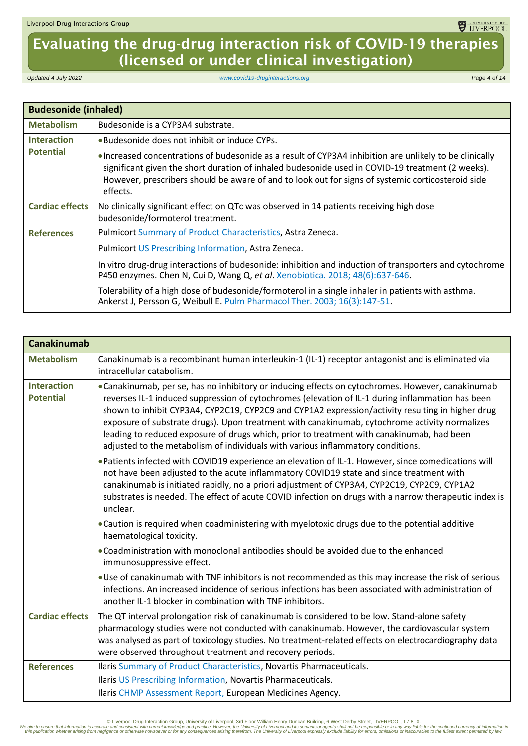# Evaluating the drug-drug interaction risk of COVID-19 therapies (licensed or under clinical investigation)

*Updated 4 July 2022 [www.covid19-druginteractions.org](http://www.covid19-druginteractions.org/) Page 4 of 14*

<span id="page-3-0"></span>

| <b>Budesonide (inhaled)</b> |                                                                                                                                                                                                                                                                                                                              |
|-----------------------------|------------------------------------------------------------------------------------------------------------------------------------------------------------------------------------------------------------------------------------------------------------------------------------------------------------------------------|
| <b>Metabolism</b>           | Budesonide is a CYP3A4 substrate.                                                                                                                                                                                                                                                                                            |
| <b>Interaction</b>          | . Budesonide does not inhibit or induce CYPs.                                                                                                                                                                                                                                                                                |
| <b>Potential</b>            | • Increased concentrations of budesonide as a result of CYP3A4 inhibition are unlikely to be clinically<br>significant given the short duration of inhaled budesonide used in COVID-19 treatment (2 weeks).<br>However, prescribers should be aware of and to look out for signs of systemic corticosteroid side<br>effects. |
| <b>Cardiac effects</b>      | No clinically significant effect on QTc was observed in 14 patients receiving high dose<br>budesonide/formoterol treatment.                                                                                                                                                                                                  |
| <b>References</b>           | Pulmicort Summary of Product Characteristics, Astra Zeneca.                                                                                                                                                                                                                                                                  |
|                             | Pulmicort US Prescribing Information, Astra Zeneca.                                                                                                                                                                                                                                                                          |
|                             | In vitro drug-drug interactions of budesonide: inhibition and induction of transporters and cytochrome<br>P450 enzymes. Chen N, Cui D, Wang Q, et al. Xenobiotica. 2018; 48(6):637-646.                                                                                                                                      |
|                             | Tolerability of a high dose of budesonide/formoterol in a single inhaler in patients with asthma.<br>Ankerst J, Persson G, Weibull E. Pulm Pharmacol Ther. 2003; 16(3):147-51.                                                                                                                                               |

<span id="page-3-1"></span>

| <b>Canakinumab</b>                     |                                                                                                                                                                                                                                                                                                                                                                                                                                                                                                                                                                                            |
|----------------------------------------|--------------------------------------------------------------------------------------------------------------------------------------------------------------------------------------------------------------------------------------------------------------------------------------------------------------------------------------------------------------------------------------------------------------------------------------------------------------------------------------------------------------------------------------------------------------------------------------------|
| <b>Metabolism</b>                      | Canakinumab is a recombinant human interleukin-1 (IL-1) receptor antagonist and is eliminated via<br>intracellular catabolism.                                                                                                                                                                                                                                                                                                                                                                                                                                                             |
| <b>Interaction</b><br><b>Potential</b> | • Canakinumab, per se, has no inhibitory or inducing effects on cytochromes. However, canakinumab<br>reverses IL-1 induced suppression of cytochromes (elevation of IL-1 during inflammation has been<br>shown to inhibit CYP3A4, CYP2C19, CYP2C9 and CYP1A2 expression/activity resulting in higher drug<br>exposure of substrate drugs). Upon treatment with canakinumab, cytochrome activity normalizes<br>leading to reduced exposure of drugs which, prior to treatment with canakinumab, had been<br>adjusted to the metabolism of individuals with various inflammatory conditions. |
|                                        | • Patients infected with COVID19 experience an elevation of IL-1. However, since comedications will<br>not have been adjusted to the acute inflammatory COVID19 state and since treatment with<br>canakinumab is initiated rapidly, no a priori adjustment of CYP3A4, CYP2C19, CYP2C9, CYP1A2<br>substrates is needed. The effect of acute COVID infection on drugs with a narrow therapeutic index is<br>unclear.                                                                                                                                                                         |
|                                        | • Caution is required when coadministering with myelotoxic drugs due to the potential additive<br>haematological toxicity.                                                                                                                                                                                                                                                                                                                                                                                                                                                                 |
|                                        | . Coadministration with monoclonal antibodies should be avoided due to the enhanced<br>immunosuppressive effect.                                                                                                                                                                                                                                                                                                                                                                                                                                                                           |
|                                        | . Use of canakinumab with TNF inhibitors is not recommended as this may increase the risk of serious<br>infections. An increased incidence of serious infections has been associated with administration of<br>another IL-1 blocker in combination with TNF inhibitors.                                                                                                                                                                                                                                                                                                                    |
| <b>Cardiac effects</b>                 | The QT interval prolongation risk of canakinumab is considered to be low. Stand-alone safety<br>pharmacology studies were not conducted with canakinumab. However, the cardiovascular system<br>was analysed as part of toxicology studies. No treatment-related effects on electrocardiography data<br>were observed throughout treatment and recovery periods.                                                                                                                                                                                                                           |
| <b>References</b>                      | Ilaris Summary of Product Characteristics, Novartis Pharmaceuticals.<br>Ilaris US Prescribing Information, Novartis Pharmaceuticals.<br>Ilaris CHMP Assessment Report, European Medicines Agency.                                                                                                                                                                                                                                                                                                                                                                                          |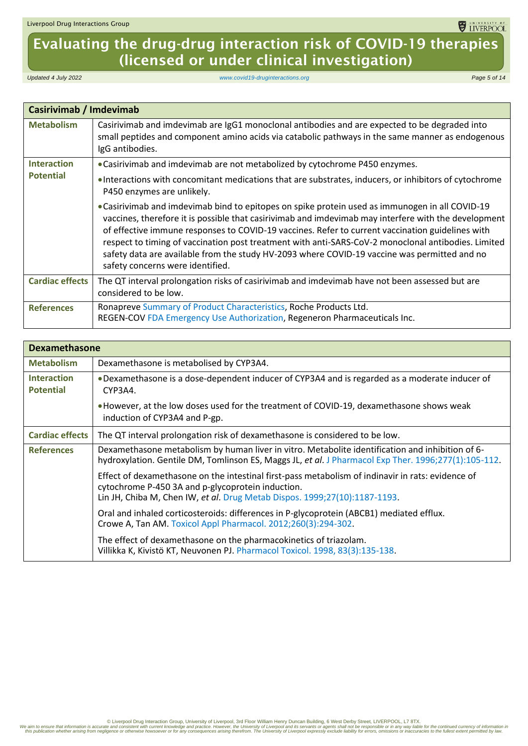## Evaluating the drug-drug interaction risk of COVID-19 therapies (licensed or under clinical investigation)

*Updated 4 July 2022 [www.covid19-druginteractions.org](http://www.covid19-druginteractions.org/) Page 5 of 14*

<span id="page-4-0"></span>

| <b>Casirivimab / Imdevimab</b> |                                                                                                                                                                                                                                                                                                                                                                                                                                                                                                                                                        |
|--------------------------------|--------------------------------------------------------------------------------------------------------------------------------------------------------------------------------------------------------------------------------------------------------------------------------------------------------------------------------------------------------------------------------------------------------------------------------------------------------------------------------------------------------------------------------------------------------|
| <b>Metabolism</b>              | Casirivimab and imdevimab are IgG1 monoclonal antibodies and are expected to be degraded into<br>small peptides and component amino acids via catabolic pathways in the same manner as endogenous<br>IgG antibodies.                                                                                                                                                                                                                                                                                                                                   |
| <b>Interaction</b>             | • Casirivimab and imdevimab are not metabolized by cytochrome P450 enzymes.                                                                                                                                                                                                                                                                                                                                                                                                                                                                            |
| <b>Potential</b>               | • Interactions with concomitant medications that are substrates, inducers, or inhibitors of cytochrome<br>P450 enzymes are unlikely.                                                                                                                                                                                                                                                                                                                                                                                                                   |
|                                | • Casirivimab and imdevimab bind to epitopes on spike protein used as immunogen in all COVID-19<br>vaccines, therefore it is possible that casirivimab and imdevimab may interfere with the development<br>of effective immune responses to COVID-19 vaccines. Refer to current vaccination guidelines with<br>respect to timing of vaccination post treatment with anti-SARS-CoV-2 monoclonal antibodies. Limited<br>safety data are available from the study HV-2093 where COVID-19 vaccine was permitted and no<br>safety concerns were identified. |
| <b>Cardiac effects</b>         | The QT interval prolongation risks of casirivimab and imdevimab have not been assessed but are<br>considered to be low.                                                                                                                                                                                                                                                                                                                                                                                                                                |
| <b>References</b>              | Ronapreve Summary of Product Characteristics, Roche Products Ltd.<br>REGEN-COV FDA Emergency Use Authorization, Regeneron Pharmaceuticals Inc.                                                                                                                                                                                                                                                                                                                                                                                                         |

<span id="page-4-1"></span>

|                                        | <b>Dexamethasone</b>                                                                                                                                                                                                                 |  |
|----------------------------------------|--------------------------------------------------------------------------------------------------------------------------------------------------------------------------------------------------------------------------------------|--|
| <b>Metabolism</b>                      | Dexamethasone is metabolised by CYP3A4.                                                                                                                                                                                              |  |
| <b>Interaction</b><br><b>Potential</b> | • Dexamethasone is a dose-dependent inducer of CYP3A4 and is regarded as a moderate inducer of<br>CYP3A4.                                                                                                                            |  |
|                                        | • However, at the low doses used for the treatment of COVID-19, dexamethasone shows weak<br>induction of CYP3A4 and P-gp.                                                                                                            |  |
| <b>Cardiac effects</b>                 | The QT interval prolongation risk of dexamethasone is considered to be low.                                                                                                                                                          |  |
| <b>References</b>                      | Dexamethasone metabolism by human liver in vitro. Metabolite identification and inhibition of 6-<br>hydroxylation. Gentile DM, Tomlinson ES, Maggs JL, et al. J Pharmacol Exp Ther. 1996;277(1):105-112.                             |  |
|                                        | Effect of dexamethasone on the intestinal first-pass metabolism of indinavir in rats: evidence of<br>cytochrome P-450 3A and p-glycoprotein induction.<br>Lin JH, Chiba M, Chen IW, et al. Drug Metab Dispos. 1999;27(10):1187-1193. |  |
|                                        | Oral and inhaled corticosteroids: differences in P-glycoprotein (ABCB1) mediated efflux.<br>Crowe A, Tan AM. Toxicol Appl Pharmacol. 2012;260(3):294-302.                                                                            |  |
|                                        | The effect of dexamethasone on the pharmacokinetics of triazolam.<br>Villikka K, Kivistö KT, Neuvonen PJ. Pharmacol Toxicol. 1998, 83(3):135-138.                                                                                    |  |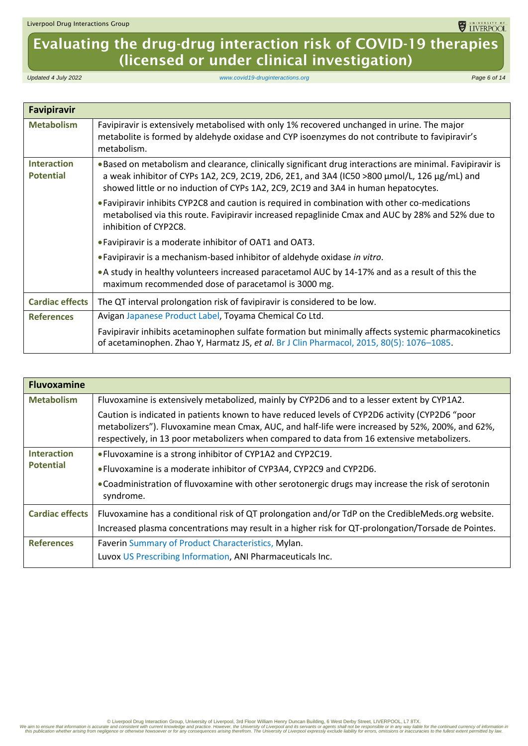# Evaluating the drug-drug interaction risk of COVID-19 therapies (licensed or under clinical investigation)

*Updated 4 July 2022 [www.covid19-druginteractions.org](http://www.covid19-druginteractions.org/) Page 6 of 14*

<span id="page-5-0"></span>

| <b>Favipiravir</b>                     |                                                                                                                                                                                                                                                                                                 |
|----------------------------------------|-------------------------------------------------------------------------------------------------------------------------------------------------------------------------------------------------------------------------------------------------------------------------------------------------|
| <b>Metabolism</b>                      | Favipiravir is extensively metabolised with only 1% recovered unchanged in urine. The major<br>metabolite is formed by aldehyde oxidase and CYP isoenzymes do not contribute to favipiravir's<br>metabolism.                                                                                    |
| <b>Interaction</b><br><b>Potential</b> | . Based on metabolism and clearance, clinically significant drug interactions are minimal. Favipiravir is<br>a weak inhibitor of CYPs 1A2, 2C9, 2C19, 2D6, 2E1, and 3A4 (IC50 >800 µmol/L, 126 µg/mL) and<br>showed little or no induction of CYPs 1A2, 2C9, 2C19 and 3A4 in human hepatocytes. |
|                                        | • Favipiravir inhibits CYP2C8 and caution is required in combination with other co-medications<br>metabolised via this route. Favipiravir increased repaglinide Cmax and AUC by 28% and 52% due to<br>inhibition of CYP2C8.                                                                     |
|                                        | • Favipiravir is a moderate inhibitor of OAT1 and OAT3.                                                                                                                                                                                                                                         |
|                                        | • Favipiravir is a mechanism-based inhibitor of aldehyde oxidase in vitro.                                                                                                                                                                                                                      |
|                                        | • A study in healthy volunteers increased paracetamol AUC by 14-17% and as a result of this the<br>maximum recommended dose of paracetamol is 3000 mg.                                                                                                                                          |
| <b>Cardiac effects</b>                 | The QT interval prolongation risk of favipiravir is considered to be low.                                                                                                                                                                                                                       |
| <b>References</b>                      | Avigan Japanese Product Label, Toyama Chemical Co Ltd.                                                                                                                                                                                                                                          |
|                                        | Favipiravir inhibits acetaminophen sulfate formation but minimally affects systemic pharmacokinetics<br>of acetaminophen. Zhao Y, Harmatz JS, et al. Br J Clin Pharmacol, 2015, 80(5): 1076-1085.                                                                                               |

<span id="page-5-1"></span>

| <b>Fluvoxamine</b>     |                                                                                                                                                                                                                                                                                                  |
|------------------------|--------------------------------------------------------------------------------------------------------------------------------------------------------------------------------------------------------------------------------------------------------------------------------------------------|
| <b>Metabolism</b>      | Fluvoxamine is extensively metabolized, mainly by CYP2D6 and to a lesser extent by CYP1A2.                                                                                                                                                                                                       |
|                        | Caution is indicated in patients known to have reduced levels of CYP2D6 activity (CYP2D6 "poor<br>metabolizers"). Fluvoxamine mean Cmax, AUC, and half-life were increased by 52%, 200%, and 62%,<br>respectively, in 13 poor metabolizers when compared to data from 16 extensive metabolizers. |
| <b>Interaction</b>     | • Fluvoxamine is a strong inhibitor of CYP1A2 and CYP2C19.                                                                                                                                                                                                                                       |
| <b>Potential</b>       | • Fluvoxamine is a moderate inhibitor of CYP3A4, CYP2C9 and CYP2D6.                                                                                                                                                                                                                              |
|                        | • Coadministration of fluvoxamine with other serotonergic drugs may increase the risk of serotonin<br>syndrome.                                                                                                                                                                                  |
| <b>Cardiac effects</b> | Fluvoxamine has a conditional risk of QT prolongation and/or TdP on the CredibleMeds.org website.                                                                                                                                                                                                |
|                        | Increased plasma concentrations may result in a higher risk for QT-prolongation/Torsade de Pointes.                                                                                                                                                                                              |
| <b>References</b>      | Faverin Summary of Product Characteristics, Mylan.                                                                                                                                                                                                                                               |
|                        | Luvox US Prescribing Information, ANI Pharmaceuticals Inc.                                                                                                                                                                                                                                       |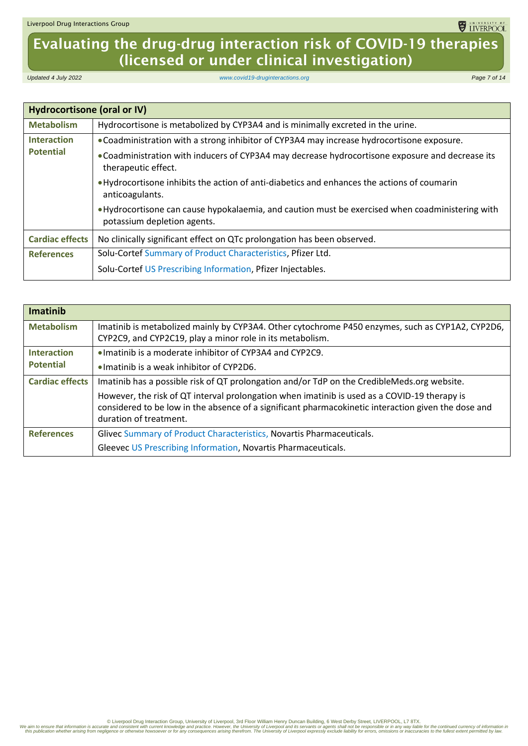## Evaluating the drug-drug interaction risk of COVID-19 therapies (licensed or under clinical investigation)

*Updated 4 July 2022 [www.covid19-druginteractions.org](http://www.covid19-druginteractions.org/) Page 7 of 14*

<span id="page-6-0"></span>

| Hydrocortisone (oral or IV)            |                                                                                                                                 |
|----------------------------------------|---------------------------------------------------------------------------------------------------------------------------------|
| <b>Metabolism</b>                      | Hydrocortisone is metabolized by CYP3A4 and is minimally excreted in the urine.                                                 |
| <b>Interaction</b><br><b>Potential</b> | . Coadministration with a strong inhibitor of CYP3A4 may increase hydrocortisone exposure.                                      |
|                                        | • Coadministration with inducers of CYP3A4 may decrease hydrocortisone exposure and decrease its<br>therapeutic effect.         |
|                                        | • Hydrocortisone inhibits the action of anti-diabetics and enhances the actions of coumarin<br>anticoagulants.                  |
|                                        | • Hydrocortisone can cause hypokalaemia, and caution must be exercised when coadministering with<br>potassium depletion agents. |
| <b>Cardiac effects</b>                 | No clinically significant effect on QTc prolongation has been observed.                                                         |
| <b>References</b>                      | Solu-Cortef Summary of Product Characteristics, Pfizer Ltd.                                                                     |
|                                        | Solu-Cortef US Prescribing Information, Pfizer Injectables.                                                                     |

<span id="page-6-1"></span>

| <b>Imatinib</b>        |                                                                                                                                                                                                                               |
|------------------------|-------------------------------------------------------------------------------------------------------------------------------------------------------------------------------------------------------------------------------|
| <b>Metabolism</b>      | Imatinib is metabolized mainly by CYP3A4. Other cytochrome P450 enzymes, such as CYP1A2, CYP2D6,<br>CYP2C9, and CYP2C19, play a minor role in its metabolism.                                                                 |
| <b>Interaction</b>     | $\bullet$ Imatinib is a moderate inhibitor of CYP3A4 and CYP2C9.                                                                                                                                                              |
| <b>Potential</b>       | • Imatinib is a weak inhibitor of CYP2D6.                                                                                                                                                                                     |
| <b>Cardiac effects</b> | Imatinib has a possible risk of QT prolongation and/or TdP on the CredibleMeds.org website.                                                                                                                                   |
|                        | However, the risk of QT interval prolongation when imatinib is used as a COVID-19 therapy is<br>considered to be low in the absence of a significant pharmacokinetic interaction given the dose and<br>duration of treatment. |
| <b>References</b>      | Glivec Summary of Product Characteristics, Novartis Pharmaceuticals.                                                                                                                                                          |
|                        | Gleevec US Prescribing Information, Novartis Pharmaceuticals.                                                                                                                                                                 |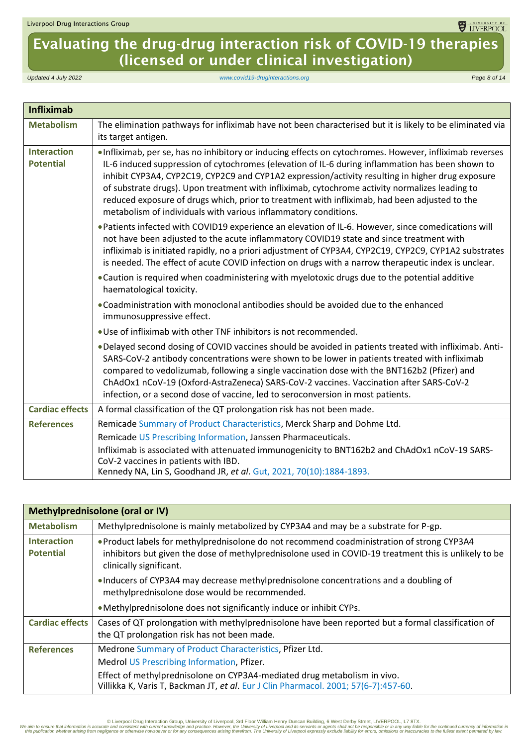# Evaluating the drug-drug interaction risk of COVID-19 therapies (licensed or under clinical investigation)

*Updated 4 July 2022 [www.covid19-druginteractions.org](http://www.covid19-druginteractions.org/) Page 8 of 14*

<span id="page-7-0"></span>

| <b>Infliximab</b>                      |                                                                                                                                                                                                                                                                                                                                                                                                                                                                                                                                                                                        |
|----------------------------------------|----------------------------------------------------------------------------------------------------------------------------------------------------------------------------------------------------------------------------------------------------------------------------------------------------------------------------------------------------------------------------------------------------------------------------------------------------------------------------------------------------------------------------------------------------------------------------------------|
| <b>Metabolism</b>                      | The elimination pathways for infliximab have not been characterised but it is likely to be eliminated via<br>its target antigen.                                                                                                                                                                                                                                                                                                                                                                                                                                                       |
| <b>Interaction</b><br><b>Potential</b> | . Infliximab, per se, has no inhibitory or inducing effects on cytochromes. However, infliximab reverses<br>IL-6 induced suppression of cytochromes (elevation of IL-6 during inflammation has been shown to<br>inhibit CYP3A4, CYP2C19, CYP2C9 and CYP1A2 expression/activity resulting in higher drug exposure<br>of substrate drugs). Upon treatment with infliximab, cytochrome activity normalizes leading to<br>reduced exposure of drugs which, prior to treatment with infliximab, had been adjusted to the<br>metabolism of individuals with various inflammatory conditions. |
|                                        | . Patients infected with COVID19 experience an elevation of IL-6. However, since comedications will<br>not have been adjusted to the acute inflammatory COVID19 state and since treatment with<br>infliximab is initiated rapidly, no a priori adjustment of CYP3A4, CYP2C19, CYP2C9, CYP1A2 substrates<br>is needed. The effect of acute COVID infection on drugs with a narrow therapeutic index is unclear.                                                                                                                                                                         |
|                                        | • Caution is required when coadministering with myelotoxic drugs due to the potential additive<br>haematological toxicity.                                                                                                                                                                                                                                                                                                                                                                                                                                                             |
|                                        | . Coadministration with monoclonal antibodies should be avoided due to the enhanced<br>immunosuppressive effect.                                                                                                                                                                                                                                                                                                                                                                                                                                                                       |
|                                        | . Use of infliximab with other TNF inhibitors is not recommended.                                                                                                                                                                                                                                                                                                                                                                                                                                                                                                                      |
|                                        | . Delayed second dosing of COVID vaccines should be avoided in patients treated with infliximab. Anti-<br>SARS-CoV-2 antibody concentrations were shown to be lower in patients treated with infliximab<br>compared to vedolizumab, following a single vaccination dose with the BNT162b2 (Pfizer) and<br>ChAdOx1 nCoV-19 (Oxford-AstraZeneca) SARS-CoV-2 vaccines. Vaccination after SARS-CoV-2<br>infection, or a second dose of vaccine, led to seroconversion in most patients.                                                                                                    |
| <b>Cardiac effects</b>                 | A formal classification of the QT prolongation risk has not been made.                                                                                                                                                                                                                                                                                                                                                                                                                                                                                                                 |
| <b>References</b>                      | Remicade Summary of Product Characteristics, Merck Sharp and Dohme Ltd.                                                                                                                                                                                                                                                                                                                                                                                                                                                                                                                |
|                                        | Remicade US Prescribing Information, Janssen Pharmaceuticals.                                                                                                                                                                                                                                                                                                                                                                                                                                                                                                                          |
|                                        | Infliximab is associated with attenuated immunogenicity to BNT162b2 and ChAdOx1 nCoV-19 SARS-<br>CoV-2 vaccines in patients with IBD.<br>Kennedy NA, Lin S, Goodhand JR, et al. Gut, 2021, 70(10):1884-1893.                                                                                                                                                                                                                                                                                                                                                                           |

<span id="page-7-1"></span>

| Methylprednisolone (oral or IV)        |                                                                                                                                                                                                                                |
|----------------------------------------|--------------------------------------------------------------------------------------------------------------------------------------------------------------------------------------------------------------------------------|
| <b>Metabolism</b>                      | Methylprednisolone is mainly metabolized by CYP3A4 and may be a substrate for P-gp.                                                                                                                                            |
| <b>Interaction</b><br><b>Potential</b> | • Product labels for methylprednisolone do not recommend coadministration of strong CYP3A4<br>inhibitors but given the dose of methylprednisolone used in COVID-19 treatment this is unlikely to be<br>clinically significant. |
|                                        | • Inducers of CYP3A4 may decrease methylprednisolone concentrations and a doubling of<br>methylprednisolone dose would be recommended.                                                                                         |
|                                        | • Methylprednisolone does not significantly induce or inhibit CYPs.                                                                                                                                                            |
| <b>Cardiac effects</b>                 | Cases of QT prolongation with methylprednisolone have been reported but a formal classification of<br>the QT prolongation risk has not been made.                                                                              |
| <b>References</b>                      | Medrone Summary of Product Characteristics, Pfizer Ltd.                                                                                                                                                                        |
|                                        | Medrol US Prescribing Information, Pfizer.                                                                                                                                                                                     |
|                                        | Effect of methylprednisolone on CYP3A4-mediated drug metabolism in vivo.<br>Villikka K, Varis T, Backman JT, et al. Eur J Clin Pharmacol. 2001; 57(6-7):457-60.                                                                |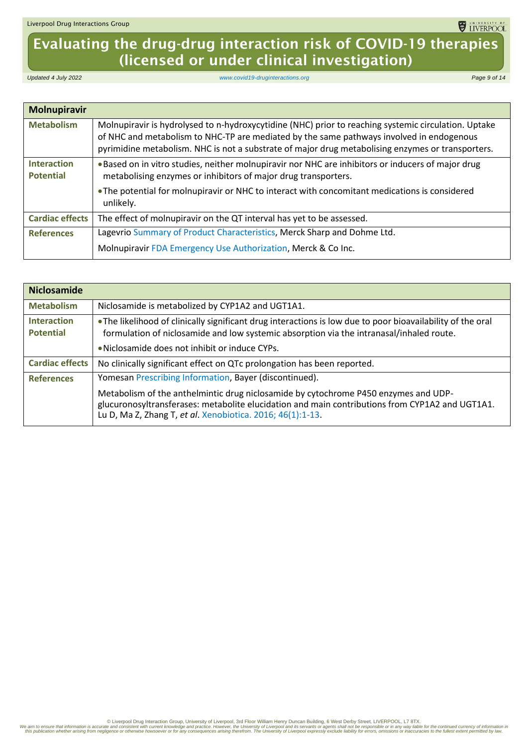# Evaluating the drug-drug interaction risk of COVID-19 therapies (licensed or under clinical investigation)

*Updated 4 July 2022 [www.covid19-druginteractions.org](http://www.covid19-druginteractions.org/) Page 9 of 14*

<span id="page-8-0"></span>

| <b>Molnupiravir</b>                    |                                                                                                                                                                                                                                                                                                       |
|----------------------------------------|-------------------------------------------------------------------------------------------------------------------------------------------------------------------------------------------------------------------------------------------------------------------------------------------------------|
| <b>Metabolism</b>                      | Molnupiravir is hydrolysed to n-hydroxycytidine (NHC) prior to reaching systemic circulation. Uptake<br>of NHC and metabolism to NHC-TP are mediated by the same pathways involved in endogenous<br>pyrimidine metabolism. NHC is not a substrate of major drug metabolising enzymes or transporters. |
| <b>Interaction</b><br><b>Potential</b> | . Based on in vitro studies, neither molnupiravir nor NHC are inhibitors or inducers of major drug<br>metabolising enzymes or inhibitors of major drug transporters.                                                                                                                                  |
|                                        | • The potential for molnupiravir or NHC to interact with concomitant medications is considered<br>unlikely.                                                                                                                                                                                           |
| <b>Cardiac effects</b>                 | The effect of molnupiravir on the QT interval has yet to be assessed.                                                                                                                                                                                                                                 |
| <b>References</b>                      | Lagevrio Summary of Product Characteristics, Merck Sharp and Dohme Ltd.                                                                                                                                                                                                                               |
|                                        | Molnupiravir FDA Emergency Use Authorization, Merck & Co Inc.                                                                                                                                                                                                                                         |

<span id="page-8-1"></span>

| <b>Niclosamide</b>                     |                                                                                                                                                                                                                                                      |
|----------------------------------------|------------------------------------------------------------------------------------------------------------------------------------------------------------------------------------------------------------------------------------------------------|
| <b>Metabolism</b>                      | Niclosamide is metabolized by CYP1A2 and UGT1A1.                                                                                                                                                                                                     |
| <b>Interaction</b><br><b>Potential</b> | • The likelihood of clinically significant drug interactions is low due to poor bioavailability of the oral<br>formulation of niclosamide and low systemic absorption via the intranasal/inhaled route.                                              |
|                                        | • Niclosamide does not inhibit or induce CYPs.                                                                                                                                                                                                       |
| <b>Cardiac effects</b>                 | No clinically significant effect on QTc prolongation has been reported.                                                                                                                                                                              |
| <b>References</b>                      | Yomesan Prescribing Information, Bayer (discontinued).                                                                                                                                                                                               |
|                                        | Metabolism of the anthelmintic drug niclosamide by cytochrome P450 enzymes and UDP-<br>glucuronosyltransferases: metabolite elucidation and main contributions from CYP1A2 and UGT1A1.<br>Lu D, Ma Z, Zhang T, et al. Xenobiotica. 2016; 46(1):1-13. |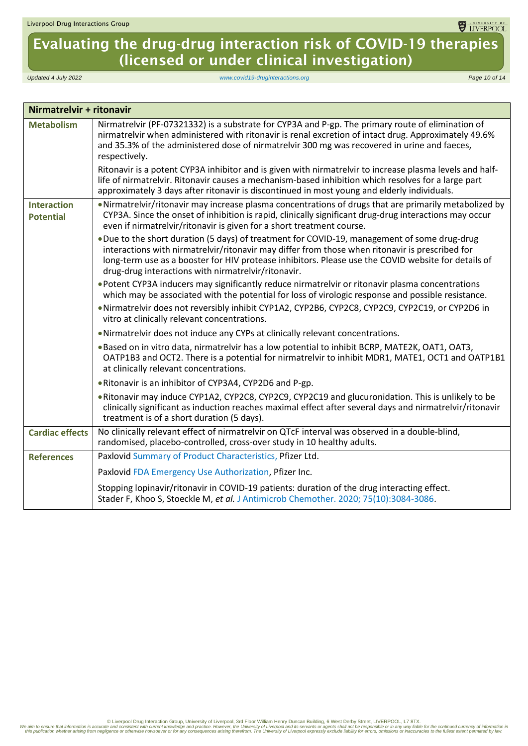## Evaluating the drug-drug interaction risk of COVID-19 therapies (licensed or under clinical investigation)

*Updated 4 July 2022 [www.covid19-druginteractions.org](http://www.covid19-druginteractions.org/) Page 10 of 14*

<span id="page-9-0"></span>

| Nirmatrelvir + ritonavir               |                                                                                                                                                                                                                                                                                                                                                               |
|----------------------------------------|---------------------------------------------------------------------------------------------------------------------------------------------------------------------------------------------------------------------------------------------------------------------------------------------------------------------------------------------------------------|
| <b>Metabolism</b>                      | Nirmatrelvir (PF-07321332) is a substrate for CYP3A and P-gp. The primary route of elimination of<br>nirmatrelvir when administered with ritonavir is renal excretion of intact drug. Approximately 49.6%<br>and 35.3% of the administered dose of nirmatrelvir 300 mg was recovered in urine and faeces,<br>respectively.                                    |
|                                        | Ritonavir is a potent CYP3A inhibitor and is given with nirmatrelvir to increase plasma levels and half-<br>life of nirmatrelvir. Ritonavir causes a mechanism-based inhibition which resolves for a large part<br>approximately 3 days after ritonavir is discontinued in most young and elderly individuals.                                                |
| <b>Interaction</b><br><b>Potential</b> | . Nirmatrelvir/ritonavir may increase plasma concentrations of drugs that are primarily metabolized by<br>CYP3A. Since the onset of inhibition is rapid, clinically significant drug-drug interactions may occur<br>even if nirmatrelvir/ritonavir is given for a short treatment course.                                                                     |
|                                        | . Due to the short duration (5 days) of treatment for COVID-19, management of some drug-drug<br>interactions with nirmatrelvir/ritonavir may differ from those when ritonavir is prescribed for<br>long-term use as a booster for HIV protease inhibitors. Please use the COVID website for details of<br>drug-drug interactions with nirmatrelvir/ritonavir. |
|                                        | • Potent CYP3A inducers may significantly reduce nirmatrelvir or ritonavir plasma concentrations<br>which may be associated with the potential for loss of virologic response and possible resistance.                                                                                                                                                        |
|                                        | . Nirmatrelvir does not reversibly inhibit CYP1A2, CYP2B6, CYP2C8, CYP2C9, CYP2C19, or CYP2D6 in<br>vitro at clinically relevant concentrations.                                                                                                                                                                                                              |
|                                        | . Nirmatrelvir does not induce any CYPs at clinically relevant concentrations.                                                                                                                                                                                                                                                                                |
|                                        | . Based on in vitro data, nirmatrelvir has a low potential to inhibit BCRP, MATE2K, OAT1, OAT3,<br>OATP1B3 and OCT2. There is a potential for nirmatrelvir to inhibit MDR1, MATE1, OCT1 and OATP1B1<br>at clinically relevant concentrations.                                                                                                                 |
|                                        | . Ritonavir is an inhibitor of CYP3A4, CYP2D6 and P-gp.                                                                                                                                                                                                                                                                                                       |
|                                        | . Ritonavir may induce CYP1A2, CYP2C8, CYP2C9, CYP2C19 and glucuronidation. This is unlikely to be<br>clinically significant as induction reaches maximal effect after several days and nirmatrelvir/ritonavir<br>treatment is of a short duration (5 days).                                                                                                  |
| <b>Cardiac effects</b>                 | No clinically relevant effect of nirmatrelvir on QTcF interval was observed in a double-blind,<br>randomised, placebo-controlled, cross-over study in 10 healthy adults.                                                                                                                                                                                      |
| <b>References</b>                      | Paxlovid Summary of Product Characteristics, Pfizer Ltd.                                                                                                                                                                                                                                                                                                      |
|                                        | Paxlovid FDA Emergency Use Authorization, Pfizer Inc.                                                                                                                                                                                                                                                                                                         |
|                                        | Stopping lopinavir/ritonavir in COVID-19 patients: duration of the drug interacting effect.<br>Stader F, Khoo S, Stoeckle M, et al. J Antimicrob Chemother. 2020; 75(10):3084-3086.                                                                                                                                                                           |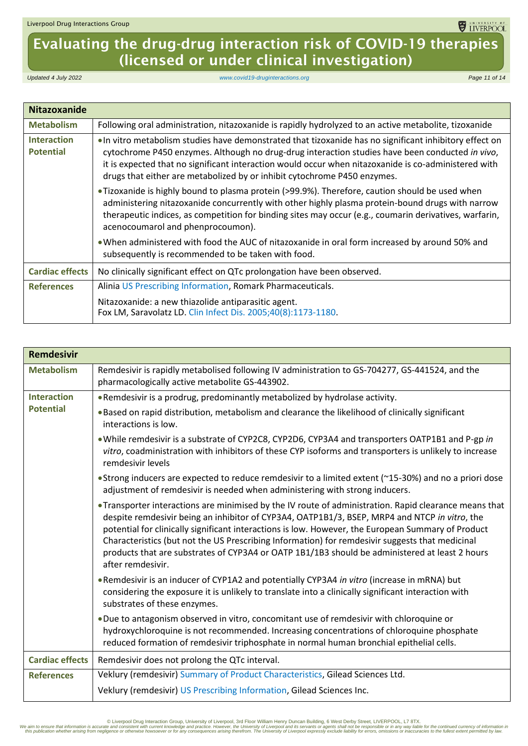# Evaluating the drug-drug interaction risk of COVID-19 therapies (licensed or under clinical investigation)

*Updated 4 July 2022 [www.covid19-druginteractions.org](http://www.covid19-druginteractions.org/) Page 11 of 14*

<span id="page-10-0"></span>

| <b>Nitazoxanide</b>                    |                                                                                                                                                                                                                                                                                                                                                                                                |
|----------------------------------------|------------------------------------------------------------------------------------------------------------------------------------------------------------------------------------------------------------------------------------------------------------------------------------------------------------------------------------------------------------------------------------------------|
| <b>Metabolism</b>                      | Following oral administration, nitazoxanide is rapidly hydrolyzed to an active metabolite, tizoxanide                                                                                                                                                                                                                                                                                          |
| <b>Interaction</b><br><b>Potential</b> | . In vitro metabolism studies have demonstrated that tizoxanide has no significant inhibitory effect on<br>cytochrome P450 enzymes. Although no drug-drug interaction studies have been conducted in vivo,<br>it is expected that no significant interaction would occur when nitazoxanide is co-administered with<br>drugs that either are metabolized by or inhibit cytochrome P450 enzymes. |
|                                        | •Tizoxanide is highly bound to plasma protein (>99.9%). Therefore, caution should be used when<br>administering nitazoxanide concurrently with other highly plasma protein-bound drugs with narrow<br>therapeutic indices, as competition for binding sites may occur (e.g., coumarin derivatives, warfarin,<br>acenocoumarol and phenprocoumon).                                              |
|                                        | . When administered with food the AUC of nitazoxanide in oral form increased by around 50% and<br>subsequently is recommended to be taken with food.                                                                                                                                                                                                                                           |
| <b>Cardiac effects</b>                 | No clinically significant effect on QTc prolongation have been observed.                                                                                                                                                                                                                                                                                                                       |
| <b>References</b>                      | Alinia US Prescribing Information, Romark Pharmaceuticals.                                                                                                                                                                                                                                                                                                                                     |
|                                        | Nitazoxanide: a new thiazolide antiparasitic agent.<br>Fox LM, Saravolatz LD. Clin Infect Dis. 2005;40(8):1173-1180.                                                                                                                                                                                                                                                                           |

<span id="page-10-1"></span>

| <b>Remdesivir</b>      |                                                                                                                                                                                                                                                                                                                                                                                                                                                                                                                                         |
|------------------------|-----------------------------------------------------------------------------------------------------------------------------------------------------------------------------------------------------------------------------------------------------------------------------------------------------------------------------------------------------------------------------------------------------------------------------------------------------------------------------------------------------------------------------------------|
| <b>Metabolism</b>      | Remdesivir is rapidly metabolised following IV administration to GS-704277, GS-441524, and the<br>pharmacologically active metabolite GS-443902.                                                                                                                                                                                                                                                                                                                                                                                        |
| <b>Interaction</b>     | . Remdesivir is a prodrug, predominantly metabolized by hydrolase activity.                                                                                                                                                                                                                                                                                                                                                                                                                                                             |
| <b>Potential</b>       | . Based on rapid distribution, metabolism and clearance the likelihood of clinically significant<br>interactions is low.                                                                                                                                                                                                                                                                                                                                                                                                                |
|                        | . While remdesivir is a substrate of CYP2C8, CYP2D6, CYP3A4 and transporters OATP1B1 and P-gp in<br>vitro, coadministration with inhibitors of these CYP isoforms and transporters is unlikely to increase<br>remdesivir levels                                                                                                                                                                                                                                                                                                         |
|                        | • Strong inducers are expected to reduce remdesivir to a limited extent (~15-30%) and no a priori dose<br>adjustment of remdesivir is needed when administering with strong inducers.                                                                                                                                                                                                                                                                                                                                                   |
|                        | . Transporter interactions are minimised by the IV route of administration. Rapid clearance means that<br>despite remdesivir being an inhibitor of CYP3A4, OATP1B1/3, BSEP, MRP4 and NTCP in vitro, the<br>potential for clinically significant interactions is low. However, the European Summary of Product<br>Characteristics (but not the US Prescribing Information) for remdesivir suggests that medicinal<br>products that are substrates of CYP3A4 or OATP 1B1/1B3 should be administered at least 2 hours<br>after remdesivir. |
|                        | . Remdesivir is an inducer of CYP1A2 and potentially CYP3A4 in vitro (increase in mRNA) but<br>considering the exposure it is unlikely to translate into a clinically significant interaction with<br>substrates of these enzymes.                                                                                                                                                                                                                                                                                                      |
|                        | . Due to antagonism observed in vitro, concomitant use of remdesivir with chloroquine or<br>hydroxychloroquine is not recommended. Increasing concentrations of chloroquine phosphate<br>reduced formation of remdesivir triphosphate in normal human bronchial epithelial cells.                                                                                                                                                                                                                                                       |
| <b>Cardiac effects</b> | Remdesivir does not prolong the QTc interval.                                                                                                                                                                                                                                                                                                                                                                                                                                                                                           |
| <b>References</b>      | Veklury (remdesivir) Summary of Product Characteristics, Gilead Sciences Ltd.                                                                                                                                                                                                                                                                                                                                                                                                                                                           |
|                        | Veklury (remdesivir) US Prescribing Information, Gilead Sciences Inc.                                                                                                                                                                                                                                                                                                                                                                                                                                                                   |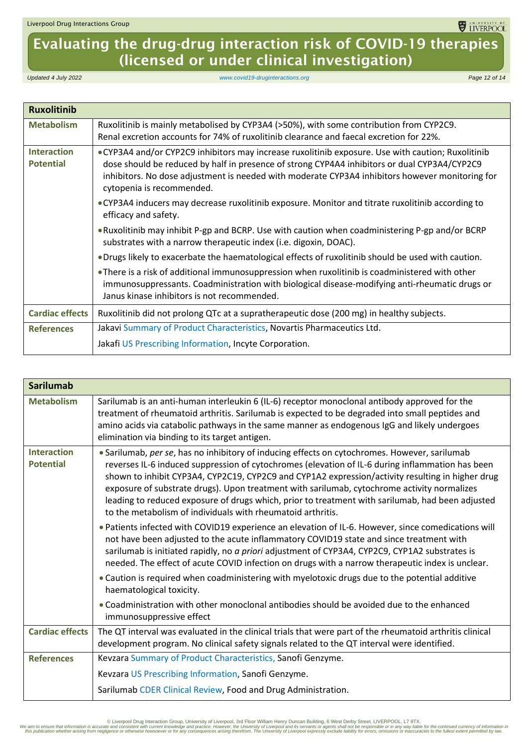# Evaluating the drug-drug interaction risk of COVID-19 therapies (licensed or under clinical investigation)

*Updated 4 July 2022 [www.covid19-druginteractions.org](http://www.covid19-druginteractions.org/) Page 12 of 14*

<span id="page-11-0"></span>

| <b>Ruxolitinib</b>                     |                                                                                                                                                                                                                                                                                                                                    |
|----------------------------------------|------------------------------------------------------------------------------------------------------------------------------------------------------------------------------------------------------------------------------------------------------------------------------------------------------------------------------------|
| <b>Metabolism</b>                      | Ruxolitinib is mainly metabolised by CYP3A4 (>50%), with some contribution from CYP2C9.<br>Renal excretion accounts for 74% of ruxolitinib clearance and faecal excretion for 22%.                                                                                                                                                 |
| <b>Interaction</b><br><b>Potential</b> | • CYP3A4 and/or CYP2C9 inhibitors may increase ruxolitinib exposure. Use with caution; Ruxolitinib<br>dose should be reduced by half in presence of strong CYP4A4 inhibitors or dual CYP3A4/CYP2C9<br>inhibitors. No dose adjustment is needed with moderate CYP3A4 inhibitors however monitoring for<br>cytopenia is recommended. |
|                                        | • CYP3A4 inducers may decrease ruxolitinib exposure. Monitor and titrate ruxolitinib according to<br>efficacy and safety.                                                                                                                                                                                                          |
|                                        | • Ruxolitinib may inhibit P-gp and BCRP. Use with caution when coadministering P-gp and/or BCRP<br>substrates with a narrow therapeutic index (i.e. digoxin, DOAC).                                                                                                                                                                |
|                                        | . Drugs likely to exacerbate the haematological effects of ruxolitinib should be used with caution.                                                                                                                                                                                                                                |
|                                        | . There is a risk of additional immunosuppression when ruxolitinib is coadministered with other<br>immunosuppressants. Coadministration with biological disease-modifying anti-rheumatic drugs or<br>Janus kinase inhibitors is not recommended.                                                                                   |
| <b>Cardiac effects</b>                 | Ruxolitinib did not prolong QTc at a supratherapeutic dose (200 mg) in healthy subjects.                                                                                                                                                                                                                                           |
| <b>References</b>                      | Jakavi Summary of Product Characteristics, Novartis Pharmaceutics Ltd.                                                                                                                                                                                                                                                             |
|                                        | Jakafi US Prescribing Information, Incyte Corporation.                                                                                                                                                                                                                                                                             |

<span id="page-11-1"></span>

| <b>Sarilumab</b>                       |                                                                                                                                                                                                                                                                                                                                                                                                                                                                                                                                                                         |
|----------------------------------------|-------------------------------------------------------------------------------------------------------------------------------------------------------------------------------------------------------------------------------------------------------------------------------------------------------------------------------------------------------------------------------------------------------------------------------------------------------------------------------------------------------------------------------------------------------------------------|
| <b>Metabolism</b>                      | Sarilumab is an anti-human interleukin 6 (IL-6) receptor monoclonal antibody approved for the<br>treatment of rheumatoid arthritis. Sarilumab is expected to be degraded into small peptides and<br>amino acids via catabolic pathways in the same manner as endogenous IgG and likely undergoes<br>elimination via binding to its target antigen.                                                                                                                                                                                                                      |
| <b>Interaction</b><br><b>Potential</b> | • Sarilumab, per se, has no inhibitory of inducing effects on cytochromes. However, sarilumab<br>reverses IL-6 induced suppression of cytochromes (elevation of IL-6 during inflammation has been<br>shown to inhibit CYP3A4, CYP2C19, CYP2C9 and CYP1A2 expression/activity resulting in higher drug<br>exposure of substrate drugs). Upon treatment with sarilumab, cytochrome activity normalizes<br>leading to reduced exposure of drugs which, prior to treatment with sarilumab, had been adjusted<br>to the metabolism of individuals with rheumatoid arthritis. |
|                                        | • Patients infected with COVID19 experience an elevation of IL-6. However, since comedications will<br>not have been adjusted to the acute inflammatory COVID19 state and since treatment with<br>sarilumab is initiated rapidly, no a priori adjustment of CYP3A4, CYP2C9, CYP1A2 substrates is<br>needed. The effect of acute COVID infection on drugs with a narrow therapeutic index is unclear.                                                                                                                                                                    |
|                                        | . Caution is required when coadministering with myelotoxic drugs due to the potential additive<br>haematological toxicity.                                                                                                                                                                                                                                                                                                                                                                                                                                              |
|                                        | • Coadministration with other monoclonal antibodies should be avoided due to the enhanced<br>immunosuppressive effect                                                                                                                                                                                                                                                                                                                                                                                                                                                   |
| <b>Cardiac effects</b>                 | The QT interval was evaluated in the clinical trials that were part of the rheumatoid arthritis clinical<br>development program. No clinical safety signals related to the QT interval were identified.                                                                                                                                                                                                                                                                                                                                                                 |
| <b>References</b>                      | Kevzara Summary of Product Characteristics, Sanofi Genzyme.                                                                                                                                                                                                                                                                                                                                                                                                                                                                                                             |
|                                        | Kevzara US Prescribing Information, Sanofi Genzyme.                                                                                                                                                                                                                                                                                                                                                                                                                                                                                                                     |
|                                        | Sarilumab CDER Clinical Review, Food and Drug Administration.                                                                                                                                                                                                                                                                                                                                                                                                                                                                                                           |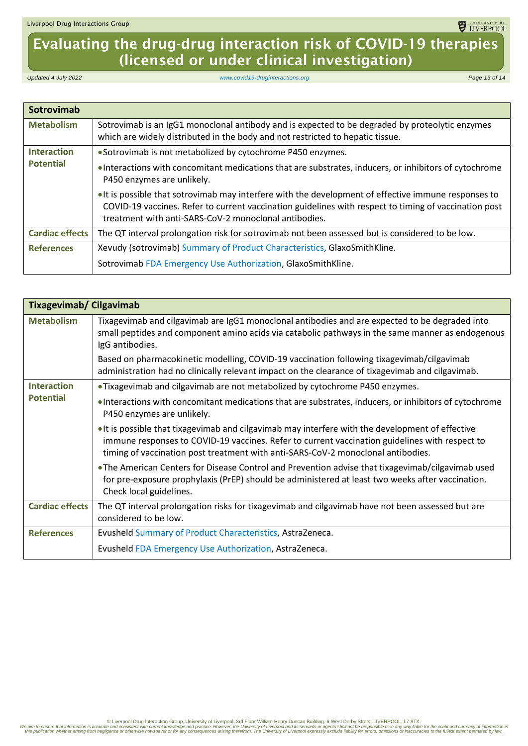## Evaluating the drug-drug interaction risk of COVID-19 therapies (licensed or under clinical investigation)

*Updated 4 July 2022 [www.covid19-druginteractions.org](http://www.covid19-druginteractions.org/) Page 13 of 14*

<span id="page-12-0"></span>

| Sotrovimab             |                                                                                                                                                                                                                                                                      |
|------------------------|----------------------------------------------------------------------------------------------------------------------------------------------------------------------------------------------------------------------------------------------------------------------|
| <b>Metabolism</b>      | Sotrovimab is an IgG1 monoclonal antibody and is expected to be degraded by proteolytic enzymes<br>which are widely distributed in the body and not restricted to hepatic tissue.                                                                                    |
| <b>Interaction</b>     | • Sotrovimab is not metabolized by cytochrome P450 enzymes.                                                                                                                                                                                                          |
| <b>Potential</b>       | • Interactions with concomitant medications that are substrates, inducers, or inhibitors of cytochrome<br>P450 enzymes are unlikely.                                                                                                                                 |
|                        | It is possible that sotrovimab may interfere with the development of effective immune responses to<br>COVID-19 vaccines. Refer to current vaccination guidelines with respect to timing of vaccination post<br>treatment with anti-SARS-CoV-2 monoclonal antibodies. |
| <b>Cardiac effects</b> | The QT interval prolongation risk for sotrovimab not been assessed but is considered to be low.                                                                                                                                                                      |
| <b>References</b>      | Xevudy (sotrovimab) Summary of Product Characteristics, GlaxoSmithKline.                                                                                                                                                                                             |
|                        | Sotrovimab FDA Emergency Use Authorization, GlaxoSmithKline.                                                                                                                                                                                                         |

<span id="page-12-1"></span>

| <b>Tixagevimab/ Cilgavimab</b> |                                                                                                                                                                                                                                                                                        |
|--------------------------------|----------------------------------------------------------------------------------------------------------------------------------------------------------------------------------------------------------------------------------------------------------------------------------------|
| <b>Metabolism</b>              | Tixagevimab and cilgavimab are IgG1 monoclonal antibodies and are expected to be degraded into<br>small peptides and component amino acids via catabolic pathways in the same manner as endogenous<br>IgG antibodies.                                                                  |
|                                | Based on pharmacokinetic modelling, COVID-19 vaccination following tixagevimab/cilgavimab<br>administration had no clinically relevant impact on the clearance of tixagevimab and cilgavimab.                                                                                          |
| <b>Interaction</b>             | . Tixagevimab and cilgavimab are not metabolized by cytochrome P450 enzymes.                                                                                                                                                                                                           |
| <b>Potential</b>               | • Interactions with concomitant medications that are substrates, inducers, or inhibitors of cytochrome<br>P450 enzymes are unlikely.                                                                                                                                                   |
|                                | • It is possible that tixagevimab and cilgavimab may interfere with the development of effective<br>immune responses to COVID-19 vaccines. Refer to current vaccination guidelines with respect to<br>timing of vaccination post treatment with anti-SARS-CoV-2 monoclonal antibodies. |
|                                | • The American Centers for Disease Control and Prevention advise that tixagevimab/cilgavimab used<br>for pre-exposure prophylaxis (PrEP) should be administered at least two weeks after vaccination.<br>Check local guidelines.                                                       |
| <b>Cardiac effects</b>         | The QT interval prolongation risks for tixagevimab and cilgavimab have not been assessed but are<br>considered to be low.                                                                                                                                                              |
| <b>References</b>              | Evusheld Summary of Product Characteristics, AstraZeneca.                                                                                                                                                                                                                              |
|                                | Evusheld FDA Emergency Use Authorization, AstraZeneca.                                                                                                                                                                                                                                 |